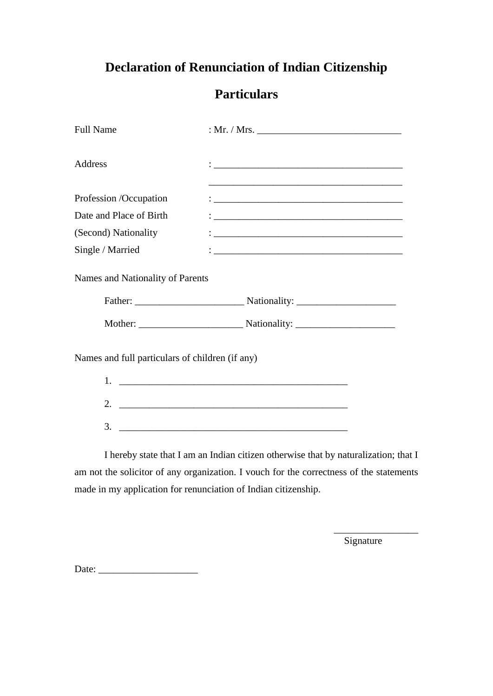# **Declaration of Renunciation of Indian Citizenship**

## **Particulars**

| <b>Full Name</b>                                |                                                                                                                       |  |  |  |
|-------------------------------------------------|-----------------------------------------------------------------------------------------------------------------------|--|--|--|
| Address                                         | <u> 1989 - Johann Harry Harry Harry Harry Harry Harry Harry Harry Harry Harry Harry Harry Harry Harry Harry Harry</u> |  |  |  |
|                                                 | <u> 1989 - Johann Stoff, deutscher Stoff, der Stoff, der Stoff, der Stoff, der Stoff, der Stoff, der Stoff, der S</u> |  |  |  |
| Profession /Occupation                          |                                                                                                                       |  |  |  |
| Date and Place of Birth                         |                                                                                                                       |  |  |  |
| (Second) Nationality                            |                                                                                                                       |  |  |  |
| Single / Married                                |                                                                                                                       |  |  |  |
| Names and Nationality of Parents                |                                                                                                                       |  |  |  |
|                                                 |                                                                                                                       |  |  |  |
| Names and full particulars of children (if any) |                                                                                                                       |  |  |  |
| 1.                                              |                                                                                                                       |  |  |  |
| 2.                                              |                                                                                                                       |  |  |  |
| 3.                                              |                                                                                                                       |  |  |  |

I hereby state that I am an Indian citizen otherwise that by naturalization; that I am not the solicitor of any organization. I vouch for the correctness of the statements made in my application for renunciation of Indian citizenship.

Signature

\_\_\_\_\_\_\_\_\_\_\_\_\_\_\_\_\_

Date: \_\_\_\_\_\_\_\_\_\_\_\_\_\_\_\_\_\_\_\_